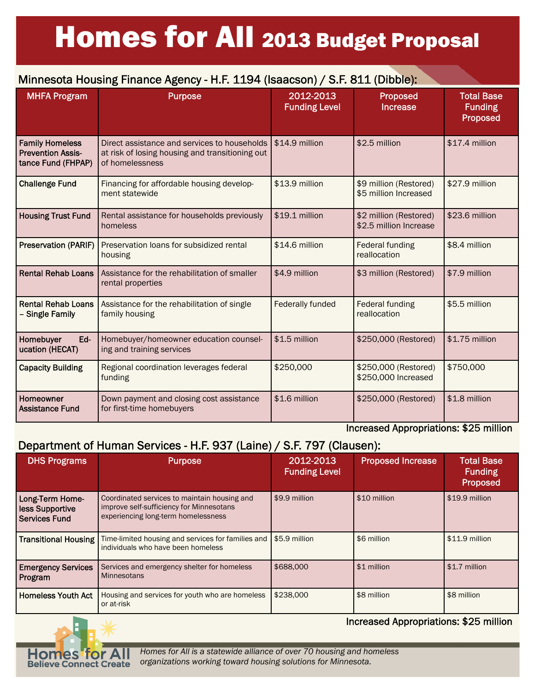# Homes for All 2013 Budget Proposal

#### Minnesota Housing Finance Agency - H.F. 1194 (Isaacson) / S.F. 811 (Dibble): MHFA Program Purpose 2012-2013 Funding Level Proposed Increase

|                                                                          |                                                                                                                                    | <b>Funding Level</b>    | Increase                                         | <b>Funding</b><br>Proposed |
|--------------------------------------------------------------------------|------------------------------------------------------------------------------------------------------------------------------------|-------------------------|--------------------------------------------------|----------------------------|
| <b>Family Homeless</b><br><b>Prevention Assis-</b><br>tance Fund (FHPAP) | Direct assistance and services to households (\$14.9 million<br>at risk of losing housing and transitioning out<br>of homelessness |                         | \$2.5 million                                    | \$17.4 million             |
| <b>Challenge Fund</b>                                                    | Financing for affordable housing develop-<br>ment statewide                                                                        | \$13.9 million          | \$9 million (Restored)<br>\$5 million Increased  | \$27.9 million             |
| <b>Housing Trust Fund</b>                                                | Rental assistance for households previously<br>homeless                                                                            | \$19.1 million          | \$2 million (Restored)<br>\$2.5 million Increase | \$23.6 million             |
| <b>Preservation (PARIF)</b>                                              | Preservation loans for subsidized rental<br>housing                                                                                | \$14.6 million          | Federal funding<br>reallocation                  | \$8.4 million              |
| <b>Rental Rehab Loans</b>                                                | Assistance for the rehabilitation of smaller<br>rental properties                                                                  | \$4.9 million           | \$3 million (Restored)                           | \$7.9 million              |
| <b>Rental Rehab Loans</b><br>- Single Family                             | Assistance for the rehabilitation of single<br>family housing                                                                      | <b>Federally funded</b> | Federal funding<br>reallocation                  | \$5.5 million              |
| Ed-<br>Homebuyer<br>ucation (HECAT)                                      | Homebuyer/homeowner education counsel-<br>ing and training services                                                                | \$1.5 million           | \$250,000 (Restored)                             | \$1.75 million             |
| <b>Capacity Building</b>                                                 | Regional coordination leverages federal<br>funding                                                                                 | \$250,000               | \$250,000 (Restored)<br>\$250,000 Increased      | \$750,000                  |
| <b>Homeowner</b><br><b>Assistance Fund</b>                               | Down payment and closing cost assistance<br>for first-time homebuyers                                                              | \$1.6 million           | \$250,000 (Restored)                             | \$1.8 million              |

### Increased Appropriations: \$25 million

Total Base

## Department of Human Services - H.F. 937 (Laine) / S.F. 797 (Clausen):

| <b>DHS Programs</b>                                        | <b>Purpose</b>                                                                                                                  | 2012-2013<br><b>Funding Level</b> | <b>Proposed Increase</b> | <b>Total Base</b><br><b>Funding</b><br>Proposed |
|------------------------------------------------------------|---------------------------------------------------------------------------------------------------------------------------------|-----------------------------------|--------------------------|-------------------------------------------------|
| Long-Term Home-<br><b>Iess Supportive</b><br>Services Fund | Coordinated services to maintain housing and<br>improve self-sufficiency for Minnesotans<br>experiencing long-term homelessness | \$9.9 million                     | \$10 million             | \$19.9 million                                  |
| <b>Transitional Housing</b>                                | Time-limited housing and services for families and<br>individuals who have been homeless                                        | \$5.9 million                     | \$6 million              | $$11.9$ million                                 |
| <b>Emergency Services</b><br><b>Program</b>                | Services and emergency shelter for homeless<br><b>Minnesotans</b>                                                               | \$688,000                         | \$1 million              | \$1.7 million                                   |
| Homeless Youth Act                                         | Housing and services for youth who are homeless<br>or at-risk                                                                   | \$238,000                         | \$8 million              | \$8 million                                     |



Increased Appropriations: \$25 million

*Homes for All is a statewide alliance of over 70 housing and homeless organizations working toward housing solutions for Minnesota.*